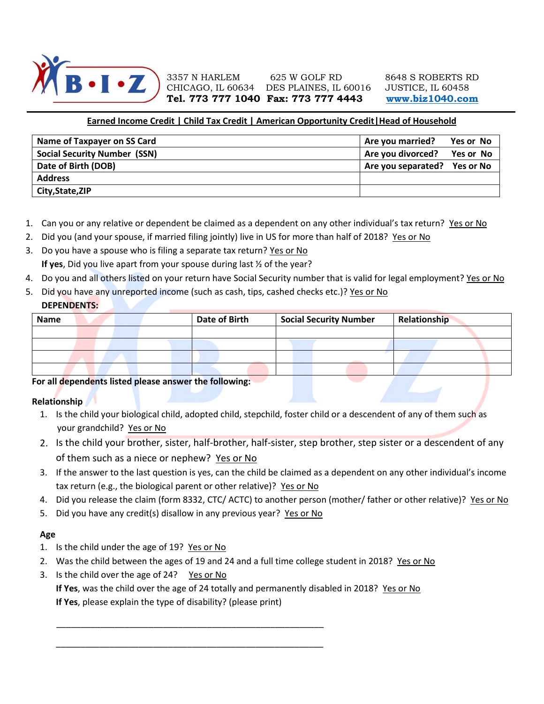

3357 N HARLEM 625 W GOLF RD 8648 S ROBERTS RD CHICAGO, IL 60634 DES PLAINES, IL 60016 JUSTICE, IL 60458 **Tel. 773 777 1040 Fax: 773 777 4443 [www.biz1040.com](http://www.biz1040.com/)**

# **Earned Income Credit | Child Tax Credit | American Opportunity Credit|Head of Household**

| Name of Taxpayer on SS Card         | Are you married?             | Yes or No |
|-------------------------------------|------------------------------|-----------|
| <b>Social Security Number (SSN)</b> | Are you divorced?            | Yes or No |
| Date of Birth (DOB)                 | Are you separated? Yes or No |           |
| <b>Address</b>                      |                              |           |
| City, State, ZIP                    |                              |           |

- 1. Can you or any relative or dependent be claimed as a dependent on any other individual's tax return? Yes or No
- 2. Did you (and your spouse, if married filing jointly) live in US for more than half of 2018? Yes or No
- 3. Do you have a spouse who is filing a separate tax return? Yes or No **If yes**, Did you live apart from your spouse during last ½ of the year?
- 4. Do you and all others listed on your return have Social Security number that is valid for legal employment? Yes or No
- 5. Did you have any unreported income (such as cash, tips, cashed checks etc.)? Yes or No **DEPENDENTS:**

| <b>Name</b> |  |  | <b>Date of Birth</b> | <b>Social Security Number</b> | Relationship |
|-------------|--|--|----------------------|-------------------------------|--------------|
|             |  |  |                      |                               |              |
|             |  |  |                      |                               |              |
|             |  |  |                      |                               |              |
|             |  |  |                      |                               |              |

## **For all dependents listed please answer the following:**

#### **Relationship**

- 1. Is the child your biological child, adopted child, stepchild, foster child or a descendent of any of them such as your grandchild? Yes or No
- 2. Is the child your brother, sister, half-brother, half-sister, step brother, step sister or a descendent of any of them such as a niece or nephew? Yes or No
- 3. If the answer to the last question is yes, can the child be claimed as a dependent on any other individual's income tax return (e.g., the biological parent or other relative)? Yes or No
- 4. Did you release the claim (form 8332, CTC/ ACTC) to another person (mother/ father or other relative)? Yes or No
- 5. Did you have any credit(s) disallow in any previous year? Yes or No

\_\_\_\_\_\_\_\_\_\_\_\_\_\_\_\_\_\_\_\_\_\_\_\_\_\_\_\_\_\_\_\_\_\_\_\_\_\_\_\_\_\_\_\_\_\_\_\_\_\_\_\_\_\_\_

\_\_\_\_\_\_\_\_\_\_\_\_\_\_\_\_\_\_\_\_\_\_\_\_\_\_\_\_\_\_\_\_\_\_\_\_\_\_\_\_\_\_\_\_\_\_\_\_\_\_\_\_\_\_\_

## **Age**

- 1. Is the child under the age of 19? Yes or No
- 2. Was the child between the ages of 19 and 24 and a full time college student in 2018? Yes or No
- 3. Is the child over the age of 24? Yes or No

**If Yes**, was the child over the age of 24 totally and permanently disabled in 2018? Yes or No **If Yes**, please explain the type of disability? (please print)